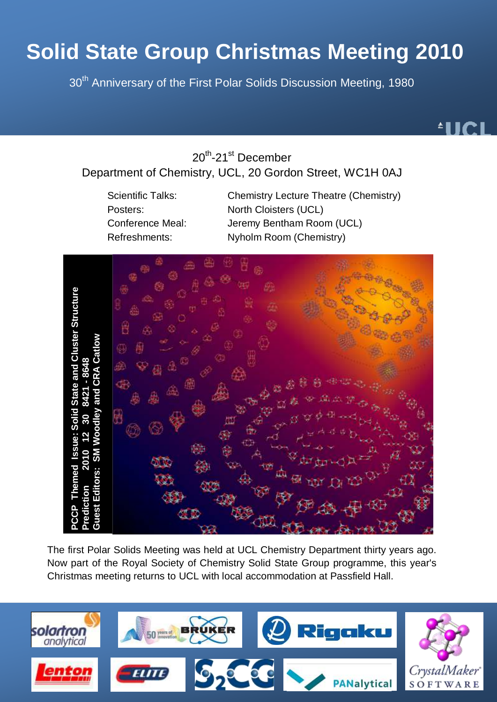# **Solid State Group Christmas Meeting 2010**

30<sup>th</sup> Anniversary of the First Polar Solids Discussion Meeting, 1980



20<sup>th</sup>-21<sup>st</sup> December

# Department of Chemistry, UCL, 20 Gordon Street, WC1H 0AJ

Scientific Talks: Chemistry Lecture Theatre (Chemistry) Posters: North Cloisters (UCL) Conference Meal: Jeremy Bentham Room (UCL) Refreshments: Nyholm Room (Chemistry)



The first Polar Solids Meeting was held at UCL Chemistry Department thirty years ago. Now part of the Royal Society of Chemistry Solid State Group programme, this year's

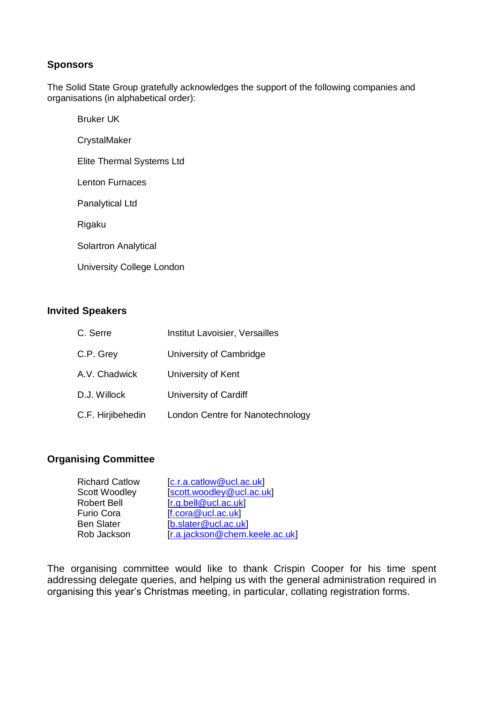### **Sponsors**

The Solid State Group gratefully acknowledges the support of the following companies and organisations (in alphabetical order):

Bruker UK **CrystalMaker** Elite Thermal Systems Ltd Lenton Furnaces Panalytical Ltd Rigaku Solartron Analytical University College London

### **Invited Speakers**

| C. Serre          | Institut Lavoisier, Versailles   |
|-------------------|----------------------------------|
| C.P. Grey         | University of Cambridge          |
| A.V. Chadwick     | University of Kent               |
| D.J. Willock      | University of Cardiff            |
| C.F. Hirjibehedin | London Centre for Nanotechnology |

#### **Organising Committee**

| <b>Richard Catlow</b> | [c.r.a.catlow@ucl.ac.uk]       |
|-----------------------|--------------------------------|
| Scott Woodley         | [scott.woodley@ucl.ac.uk]      |
| <b>Robert Bell</b>    | [r.g. bell@ucl.ac.uk]          |
| <b>Furio Cora</b>     | $[$ f.cora@ucl.ac.uk $]$       |
| <b>Ben Slater</b>     | [b.slater@ucl.ac.uk]           |
| Rob Jackson           | [r.a.jackson@chem.keele.ac.uk] |

The organising committee would like to thank Crispin Cooper for his time spent addressing delegate queries, and helping us with the general administration required in organising this year"s Christmas meeting, in particular, collating registration forms.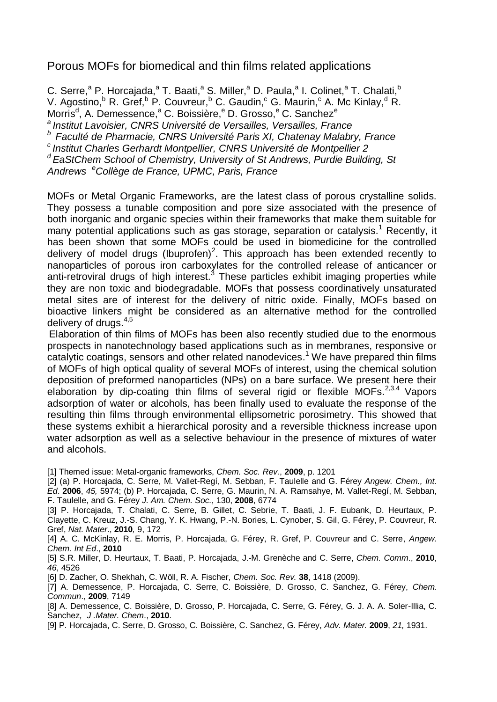## Porous MOFs for biomedical and thin films related applications

C. Serre,<sup>a</sup> P. Horcajada,<sup>a</sup> T. Baati,<sup>a</sup> S. Miller,<sup>a</sup> D. Paula,<sup>a</sup> I. Colinet,<sup>a</sup> T. Chalati,<sup>b</sup> V. Agostino,  $R$  R. Gref,  $R$  P. Couvreur,  $R$  C. Gaudin,  $C$  G. Maurin,  $C$  A. Mc Kinlay,  $R$  R. Morris<sup>d</sup>, A. Demessence,<sup>a</sup> C. Boissière,<sup>e</sup> D. Grosso,<sup>e</sup> C. Sanchez<sup>e</sup> *a Institut Lavoisier, CNRS Université de Versailles, Versailles, France b Faculté de Pharmacie, CNRS Université Paris XI, Chatenay Malabry, France <sup>c</sup>Institut Charles Gerhardt Montpellier, CNRS Université de Montpellier 2*

*<sup>d</sup>EaStChem School of Chemistry, University of St Andrews, Purdie Building, St Andrews <sup>e</sup>Collège de France, UPMC, Paris, France*

MOFs or Metal Organic Frameworks, are the latest class of porous crystalline solids. They possess a tunable composition and pore size associated with the presence of both inorganic and organic species within their frameworks that make them suitable for many potential applications such as gas storage, separation or catalysis.<sup>1</sup> Recently, it has been shown that some MOFs could be used in biomedicine for the controlled delivery of model drugs (Ibuprofen)<sup>2</sup>. This approach has been extended recently to nanoparticles of porous iron carboxylates for the controlled release of anticancer or anti-retroviral drugs of high interest. $3$  These particles exhibit imaging properties while they are non toxic and biodegradable. MOFs that possess coordinatively unsaturated metal sites are of interest for the delivery of nitric oxide. Finally, MOFs based on bioactive linkers might be considered as an alternative method for the controlled delivery of drugs.4,5

Elaboration of thin films of MOFs has been also recently studied due to the enormous prospects in nanotechnology based applications such as in membranes, responsive or catalytic coatings, sensors and other related nanodevices. <sup>1</sup> We have prepared thin films of MOFs of high optical quality of several MOFs of interest, using the chemical solution deposition of preformed nanoparticles (NPs) on a bare surface. We present here their elaboration by dip-coating thin films of several rigid or flexible MOFs.  $2,3.4$  Vapors adsorption of water or alcohols, has been finally used to evaluate the response of the resulting thin films through environmental ellipsometric porosimetry. This showed that these systems exhibit a hierarchical porosity and a reversible thickness increase upon water adsorption as well as a selective behaviour in the presence of mixtures of water and alcohols.

[1] Themed issue: Metal-organic frameworks, *Chem. Soc. Rev.*, **2009**, p. 1201

[2] (a) P. Horcajada, C. Serre, M. Vallet-Regí, M. Sebban, F. Taulelle and G. Férey *Angew. Chem., Int. Ed*. **2006**, *45,* 5974; (b) P. Horcajada, C. Serre, G. Maurin, N. A. Ramsahye, M. Vallet-Regí, M. Sebban, F. Taulelle, and G. Férey *J. Am. Chem. Soc.*, 130, **2008**, 6774

[3] P. Horcajada, T. Chalati, C. Serre, B. Gillet, C. Sebrie, T. Baati, J. F. Eubank, D. Heurtaux, P. Clayette, C. Kreuz, J.-S. Chang, Y. K. Hwang, P.-N. Bories, L. Cynober, S. Gil, G. Férey, P. Couvreur, R. Gref, *Nat. Mater*., **2010***,* 9, 172

[4] A. C. McKinlay, R. E. Morris, P. Horcajada, G. Férey, R. Gref, P. Couvreur and C. Serre, *Angew. Chem. Int Ed*., **2010**

[5] S.R. Miller, D. Heurtaux, T. Baati, P. Horcajada, J.-M. Grenèche and C. Serre, *Chem. Comm*., **2010**, *46*, 4526

[6] D. Zacher, O. Shekhah, C. Wöll, R. A. Fischer, *Chem. Soc. Rev.* **38**, 1418 (2009).

[7] A. Demessence, P. Horcajada, C. Serre, C. Boissière, D. Grosso, C. Sanchez, G. Férey, *Chem. Commun*., **2009**, 7149

[8] A. Demessence, C. Boissière, D. Grosso, P. Horcajada, C. Serre, G. Férey, G. J. A. A. Soler-Illia, C. Sanchez*, J .Mater. Chem*., **2010**.

[9] P. Horcajada, C. Serre, D. Grosso, C. Boissière, C. Sanchez, G. Férey, *Adv. Mater.* **2009**, *21,* 1931.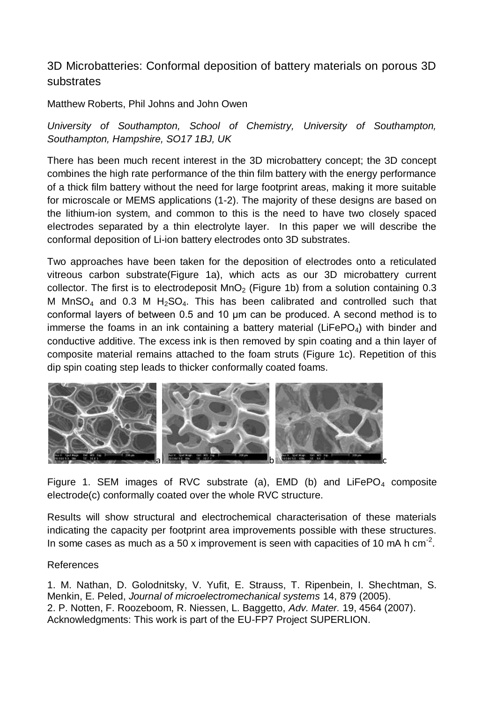# 3D Microbatteries: Conformal deposition of battery materials on porous 3D substrates

Matthew Roberts, Phil Johns and John Owen

*University of Southampton, School of Chemistry, University of Southampton, Southampton, Hampshire, SO17 1BJ, UK*

There has been much recent interest in the 3D microbattery concept; the 3D concept combines the high rate performance of the thin film battery with the energy performance of a thick film battery without the need for large footprint areas, making it more suitable for microscale or MEMS applications (1-2). The majority of these designs are based on the lithium-ion system, and common to this is the need to have two closely spaced electrodes separated by a thin electrolyte layer. In this paper we will describe the conformal deposition of Li-ion battery electrodes onto 3D substrates.

Two approaches have been taken for the deposition of electrodes onto a reticulated vitreous carbon substrate(Figure 1a), which acts as our 3D microbattery current collector. The first is to electrodeposit  $MnO<sub>2</sub>$  (Figure 1b) from a solution containing 0.3 M MnSO<sub>4</sub> and 0.3 M H<sub>2</sub>SO<sub>4</sub>. This has been calibrated and controlled such that conformal layers of between 0.5 and 10 μm can be produced. A second method is to immerse the foams in an ink containing a battery material ( $LIFePO<sub>4</sub>$ ) with binder and conductive additive. The excess ink is then removed by spin coating and a thin layer of composite material remains attached to the foam struts (Figure 1c). Repetition of this dip spin coating step leads to thicker conformally coated foams.



Figure 1. SEM images of RVC substrate (a), EMD (b) and LiFePO<sub>4</sub> composite electrode(c) conformally coated over the whole RVC structure.

Results will show structural and electrochemical characterisation of these materials indicating the capacity per footprint area improvements possible with these structures. In some cases as much as a 50 x improvement is seen with capacities of 10 mA h cm<sup>-2</sup>.

## References

1. M. Nathan, D. Golodnitsky, V. Yufit, E. Strauss, T. Ripenbein, I. Shechtman, S. Menkin, E. Peled, *Journal of microelectromechanical systems* 14, 879 (2005). 2. P. Notten, F. Roozeboom, R. Niessen, L. Baggetto, *Adv. Mater.* 19, 4564 (2007). Acknowledgments: This work is part of the EU-FP7 Project SUPERLION.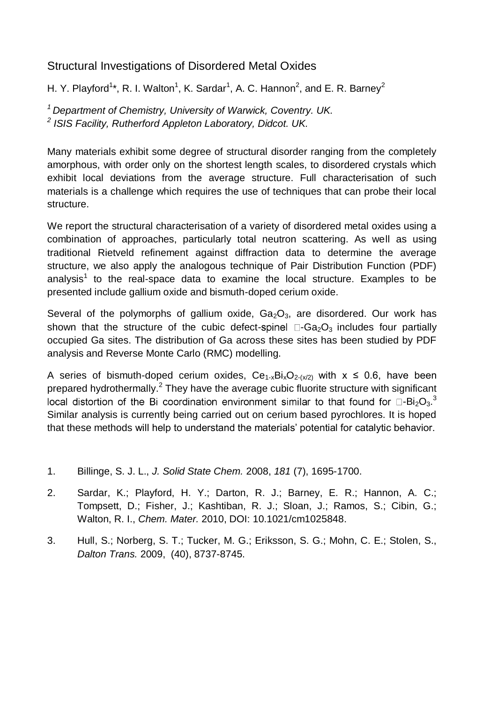# Structural Investigations of Disordered Metal Oxides

H. Y. Playford<sup>1\*</sup>, R. I. Walton<sup>1</sup>, K. Sardar<sup>1</sup>, A. C. Hannon<sup>2</sup>, and E. R. Barney<sup>2</sup>

*<sup>1</sup>Department of Chemistry, University of Warwick, Coventry. UK. 2 ISIS Facility, Rutherford Appleton Laboratory, Didcot. UK.*

Many materials exhibit some degree of structural disorder ranging from the completely amorphous, with order only on the shortest length scales, to disordered crystals which exhibit local deviations from the average structure. Full characterisation of such materials is a challenge which requires the use of techniques that can probe their local structure.

We report the structural characterisation of a variety of disordered metal oxides using a combination of approaches, particularly total neutron scattering. As well as using traditional Rietveld refinement against diffraction data to determine the average structure, we also apply the analogous technique of Pair Distribution Function (PDF) analysis<sup>[1](#page-5-0)</sup> to the real-space data to examine the local structure. Examples to be presented include gallium oxide and bismuth-doped cerium oxide.

Several of the polymorphs of gallium oxide,  $Ga<sub>2</sub>O<sub>3</sub>$ , are disordered. Our work has shown that the structure of the cubic defect-spinel  $\Box$ -Ga<sub>2</sub>O<sub>3</sub> includes four partially occupied Ga sites. The distribution of Ga across these sites has been studied by PDF analysis and Reverse Monte Carlo (RMC) modelling.

A series of bismuth-doped cerium oxides,  $Ce_{1-x}Bi_xO_{2-(x/2)}$  with  $x \le 0.6$ , have been prepared hydrothermally.<sup>[2](#page-5-1)</sup> They have the average cubic fluorite structure with significant  $-Bi<sub>2</sub>O<sub>3</sub>$  $-Bi<sub>2</sub>O<sub>3</sub>$  $-Bi<sub>2</sub>O<sub>3</sub>$ . Similar analysis is currently being carried out on cerium based pyrochlores. It is hoped that these methods will help to understand the materials" potential for catalytic behavior.

- <span id="page-5-0"></span>1. Billinge, S. J. L., *J. Solid State Chem.* 2008, *181* (7), 1695-1700.
- <span id="page-5-1"></span>2. Sardar, K.; Playford, H. Y.; Darton, R. J.; Barney, E. R.; Hannon, A. C.; Tompsett, D.; Fisher, J.; Kashtiban, R. J.; Sloan, J.; Ramos, S.; Cibin, G.; Walton, R. I., *Chem. Mater.* 2010, DOI: 10.1021/cm1025848.
- <span id="page-5-2"></span>3. Hull, S.; Norberg, S. T.; Tucker, M. G.; Eriksson, S. G.; Mohn, C. E.; Stolen, S., *Dalton Trans.* 2009, (40), 8737-8745.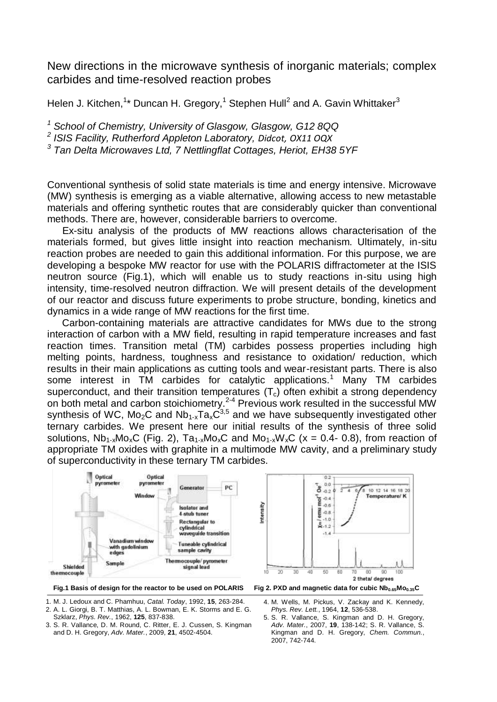New directions in the microwave synthesis of inorganic materials; complex carbides and time-resolved reaction probes

Helen J. Kitchen,<sup>1\*</sup> Duncan H. Gregory,<sup>1</sup> Stephen Hull<sup>2</sup> and A. Gavin Whittaker<sup>3</sup>

*<sup>1</sup> School of Chemistry, University of Glasgow, Glasgow, G12 8QQ*

*2 ISIS Facility, Rutherford Appleton Laboratory, Didcot, OX11 OQX*

*3 Tan Delta Microwaves Ltd, 7 Nettlingflat Cottages, Heriot, EH38 5YF*

Conventional synthesis of solid state materials is time and energy intensive. Microwave (MW) synthesis is emerging as a viable alternative, allowing access to new metastable materials and offering synthetic routes that are considerably quicker than conventional methods. There are, however, considerable barriers to overcome.

Ex-situ analysis of the products of MW reactions allows characterisation of the materials formed, but gives little insight into reaction mechanism. Ultimately, in-situ reaction probes are needed to gain this additional information. For this purpose, we are developing a bespoke MW reactor for use with the POLARIS diffractometer at the ISIS neutron source (Fig.1), which will enable us to study reactions in-situ using high intensity, time-resolved neutron diffraction. We will present details of the development of our reactor and discuss future experiments to probe structure, bonding, kinetics and dynamics in a wide range of MW reactions for the first time.

Carbon-containing materials are attractive candidates for MWs due to the strong interaction of carbon with a MW field, resulting in rapid temperature increases and fast reaction times. Transition metal (TM) carbides possess properties including high melting points, hardness, toughness and resistance to oxidation/ reduction, which results in their main applications as cutting tools and wear-resistant parts. There is also some interest in TM carbides for catalytic applications.<sup>1</sup> Many TM carbides superconduct, and their transition temperatures  $(T_c)$  often exhibit a strong dependency on both metal and carbon stoichiometry.2-4 Previous work resulted in the successful MW synthesis of WC, Mo<sub>2</sub>C and Nb<sub>1-x</sub>Ta<sub>x</sub>C<sup>3,5</sup> and we have subsequently investigated other ternary carbides. We present here our initial results of the synthesis of three solid solutions,  $Nb_{1-x}Mo_xC$  (Fig. 2),  $Ta_{1-x}Mo_xC$  and  $Mo_{1-x}W_xC$  (x = 0.4- 0.8), from reaction of appropriate TM oxides with graphite in a multimode MW cavity, and a preliminary study of superconductivity in these ternary TM carbides.



1. M. J. Ledoux and C. Phamhuu, *Catal. Today*, 1992, **15**, 263-284.

2. A. L. Giorgi, B. T. Matthias, A. L. Bowman, E. K. Storms and E. G. Szklarz, *Phys. Rev.*, 1962, **125**, 837-838.

- 3. S. R. Vallance, D. M. Round, C. Ritter, E. J. Cussen, S. Kingman and D. H. Gregory, *Adv. Mater.*, 2009, **21**, 4502-4504.
- 4. M. Wells, M. Pickus, V. Zackay and K. Kennedy, *Phys. Rev. Lett.*, 1964, **12**, 536-538.

5. S. R. Vallance, S. Kingman and D. H. Gregory, *Adv. Mater.*, 2007, **19**, 138-142; S. R. Vallance, S. Kingman and D. H. Gregory, *Chem. Commun.*, 2007, 742-744.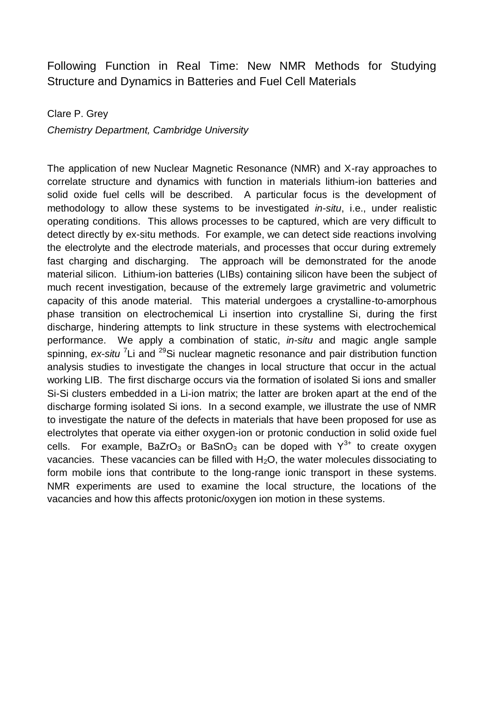# Following Function in Real Time: New NMR Methods for Studying Structure and Dynamics in Batteries and Fuel Cell Materials

### Clare P. Grey

*Chemistry Department, Cambridge University*

The application of new Nuclear Magnetic Resonance (NMR) and X-ray approaches to correlate structure and dynamics with function in materials lithium-ion batteries and solid oxide fuel cells will be described. A particular focus is the development of methodology to allow these systems to be investigated *in-situ*, i.e., under realistic operating conditions. This allows processes to be captured, which are very difficult to detect directly by ex-situ methods. For example, we can detect side reactions involving the electrolyte and the electrode materials, and processes that occur during extremely fast charging and discharging. The approach will be demonstrated for the anode material silicon. Lithium-ion batteries (LIBs) containing silicon have been the subject of much recent investigation, because of the extremely large gravimetric and volumetric capacity of this anode material. This material undergoes a crystalline-to-amorphous phase transition on electrochemical Li insertion into crystalline Si, during the first discharge, hindering attempts to link structure in these systems with electrochemical performance. We apply a combination of static, *in-situ* and magic angle sample spinning, ex-situ<sup>7</sup>Li and <sup>29</sup>Si nuclear magnetic resonance and pair distribution function analysis studies to investigate the changes in local structure that occur in the actual working LIB. The first discharge occurs via the formation of isolated Si ions and smaller Si-Si clusters embedded in a Li-ion matrix; the latter are broken apart at the end of the discharge forming isolated Si ions. In a second example, we illustrate the use of NMR to investigate the nature of the defects in materials that have been proposed for use as electrolytes that operate via either oxygen-ion or protonic conduction in solid oxide fuel cells. For example, BaZrO<sub>3</sub> or BaSnO<sub>3</sub> can be doped with  $Y^{3+}$  to create oxygen vacancies. These vacancies can be filled with  $H_2O$ , the water molecules dissociating to form mobile ions that contribute to the long-range ionic transport in these systems. NMR experiments are used to examine the local structure, the locations of the vacancies and how this affects protonic/oxygen ion motion in these systems.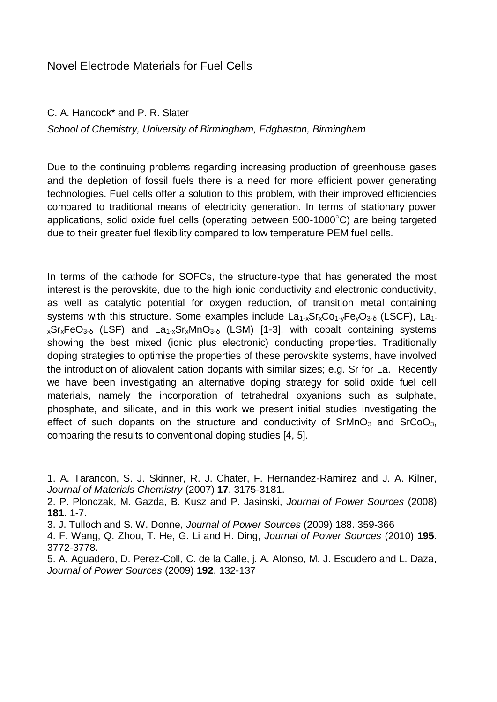C. A. Hancock\* and P. R. Slater

*School of Chemistry, University of Birmingham, Edgbaston, Birmingham*

Due to the continuing problems regarding increasing production of greenhouse gases and the depletion of fossil fuels there is a need for more efficient power generating technologies. Fuel cells offer a solution to this problem, with their improved efficiencies compared to traditional means of electricity generation. In terms of stationary power applications, solid oxide fuel cells (operating between 500-1000°C) are being targeted due to their greater fuel flexibility compared to low temperature PEM fuel cells.

In terms of the cathode for SOFCs, the structure-type that has generated the most interest is the perovskite, due to the high ionic conductivity and electronic conductivity, as well as catalytic potential for oxygen reduction, of transition metal containing systems with this structure. Some examples include  $La_{1-x}Sr_{x}Co_{1-y}Fe_{y}O_{3-\delta}$  (LSCF),  $La_{1-x}$  $_{x}Sr_{x}FeO_{3-{\delta}}$  (LSF) and La<sub>1-x</sub>Sr<sub>x</sub>MnO<sub>3-δ</sub> (LSM) [1-3], with cobalt containing systems showing the best mixed (ionic plus electronic) conducting properties. Traditionally doping strategies to optimise the properties of these perovskite systems, have involved the introduction of aliovalent cation dopants with similar sizes; e.g. Sr for La. Recently we have been investigating an alternative doping strategy for solid oxide fuel cell materials, namely the incorporation of tetrahedral oxyanions such as sulphate, phosphate, and silicate, and in this work we present initial studies investigating the effect of such dopants on the structure and conductivity of  $SrMnO<sub>3</sub>$  and  $SrCoO<sub>3</sub>$ , comparing the results to conventional doping studies [4, 5].

3. J. Tulloch and S. W. Donne, *Journal of Power Sources* (2009) 188. 359-366

4. F. Wang, Q. Zhou, T. He, G. Li and H. Ding, *Journal of Power Sources* (2010) **195**. 3772-3778.

5. A. Aguadero, D. Perez-Coll, C. de la Calle, j. A. Alonso, M. J. Escudero and L. Daza, *Journal of Power Sources* (2009) **192**. 132-137

<sup>1.</sup> A. Tarancon, S. J. Skinner, R. J. Chater, F. Hernandez-Ramirez and J. A. Kilner, *Journal of Materials Chemistry* (2007) **17**. 3175-3181.

<sup>2.</sup> P. Plonczak, M. Gazda, B. Kusz and P. Jasinski, *Journal of Power Sources* (2008) **181**. 1-7.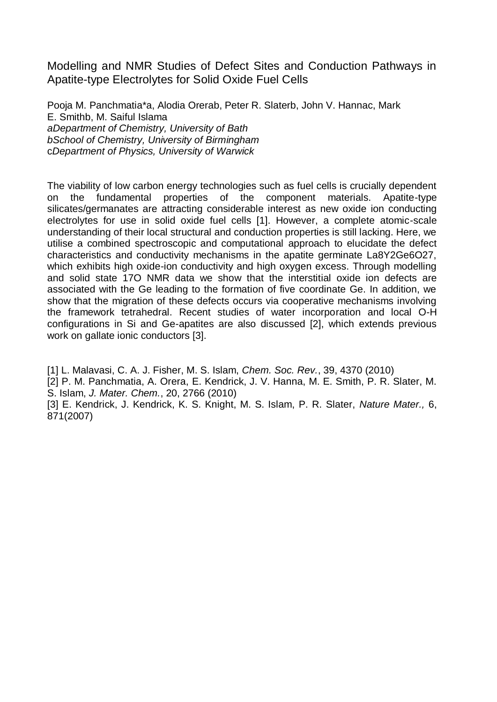Modelling and NMR Studies of Defect Sites and Conduction Pathways in Apatite-type Electrolytes for Solid Oxide Fuel Cells

Pooja M. Panchmatia\*a, Alodia Orerab, Peter R. Slaterb, John V. Hannac, Mark E. Smithb, M. Saiful Islama *aDepartment of Chemistry, University of Bath bSchool of Chemistry, University of Birmingham* c*Department of Physics, University of Warwick*

The viability of low carbon energy technologies such as fuel cells is crucially dependent on the fundamental properties of the component materials. Apatite-type silicates/germanates are attracting considerable interest as new oxide ion conducting electrolytes for use in solid oxide fuel cells [1]. However, a complete atomic-scale understanding of their local structural and conduction properties is still lacking. Here, we utilise a combined spectroscopic and computational approach to elucidate the defect characteristics and conductivity mechanisms in the apatite germinate La8Y2Ge6O27, which exhibits high oxide-ion conductivity and high oxygen excess. Through modelling and solid state 17O NMR data we show that the interstitial oxide ion defects are associated with the Ge leading to the formation of five coordinate Ge. In addition, we show that the migration of these defects occurs via cooperative mechanisms involving the framework tetrahedral. Recent studies of water incorporation and local O-H configurations in Si and Ge-apatites are also discussed [2], which extends previous work on gallate ionic conductors [3].

[1] L. Malavasi, C. A. J. Fisher, M. S. Islam, *Chem. Soc. Rev.*, 39, 4370 (2010)

[2] P. M. Panchmatia, A. Orera, E. Kendrick, J. V. Hanna, M. E. Smith, P. R. Slater, M. S. Islam, *J. Mater. Chem.*, 20, 2766 (2010)

[3] E. Kendrick, J. Kendrick, K. S. Knight, M. S. Islam, P. R. Slater, *Nature Mater.,* 6, 871(2007)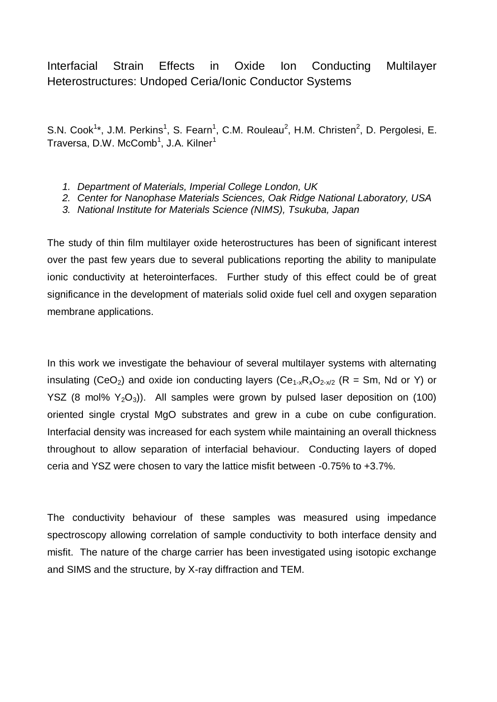Interfacial Strain Effects in Oxide Ion Conducting Multilayer Heterostructures: Undoped Ceria/Ionic Conductor Systems

S.N. Cook<sup>1\*</sup>, J.M. Perkins<sup>1</sup>, S. Fearn<sup>1</sup>, C.M. Rouleau<sup>2</sup>, H.M. Christen<sup>2</sup>, D. Pergolesi, E. Traversa, D.W. McComb<sup>1</sup>, J.A. Kilner<sup>1</sup>

- *1. Department of Materials, Imperial College London, UK*
- *2. Center for Nanophase Materials Sciences, Oak Ridge National Laboratory, USA*
- *3. National Institute for Materials Science (NIMS), Tsukuba, Japan*

The study of thin film multilayer oxide heterostructures has been of significant interest over the past few years due to several publications reporting the ability to manipulate ionic conductivity at heterointerfaces. Further study of this effect could be of great significance in the development of materials solid oxide fuel cell and oxygen separation membrane applications.

In this work we investigate the behaviour of several multilayer systems with alternating insulating (CeO<sub>2</sub>) and oxide ion conducting layers (Ce<sub>1-x</sub>R<sub>x</sub>O<sub>2-x/2</sub> (R = Sm, Nd or Y) or YSZ (8 mol%  $Y_2O_3$ ). All samples were grown by pulsed laser deposition on (100) oriented single crystal MgO substrates and grew in a cube on cube configuration. Interfacial density was increased for each system while maintaining an overall thickness throughout to allow separation of interfacial behaviour. Conducting layers of doped ceria and YSZ were chosen to vary the lattice misfit between -0.75% to +3.7%.

The conductivity behaviour of these samples was measured using impedance spectroscopy allowing correlation of sample conductivity to both interface density and misfit. The nature of the charge carrier has been investigated using isotopic exchange and SIMS and the structure, by X-ray diffraction and TEM.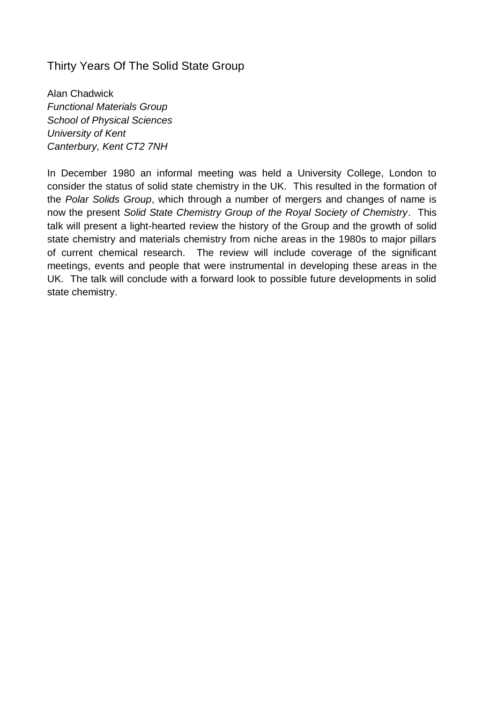## Thirty Years Of The Solid State Group

Alan Chadwick *Functional Materials Group School of Physical Sciences University of Kent Canterbury, Kent CT2 7NH*

In December 1980 an informal meeting was held a University College, London to consider the status of solid state chemistry in the UK. This resulted in the formation of the *Polar Solids Group*, which through a number of mergers and changes of name is now the present *Solid State Chemistry Group of the Royal Society of Chemistry*. This talk will present a light-hearted review the history of the Group and the growth of solid state chemistry and materials chemistry from niche areas in the 1980s to major pillars of current chemical research. The review will include coverage of the significant meetings, events and people that were instrumental in developing these areas in the UK. The talk will conclude with a forward look to possible future developments in solid state chemistry.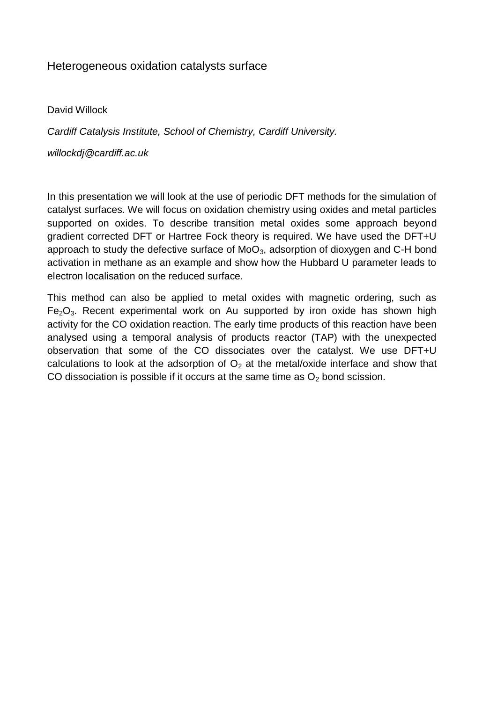## Heterogeneous oxidation catalysts surface

David Willock

*Cardiff Catalysis Institute, School of Chemistry, Cardiff University.*

*willockdj@cardiff.ac.uk*

In this presentation we will look at the use of periodic DFT methods for the simulation of catalyst surfaces. We will focus on oxidation chemistry using oxides and metal particles supported on oxides. To describe transition metal oxides some approach beyond gradient corrected DFT or Hartree Fock theory is required. We have used the DFT+U approach to study the defective surface of  $MoO<sub>3</sub>$ , adsorption of dioxygen and C-H bond activation in methane as an example and show how the Hubbard U parameter leads to electron localisation on the reduced surface.

This method can also be applied to metal oxides with magnetic ordering, such as  $Fe<sub>2</sub>O<sub>3</sub>$ . Recent experimental work on Au supported by iron oxide has shown high activity for the CO oxidation reaction. The early time products of this reaction have been analysed using a temporal analysis of products reactor (TAP) with the unexpected observation that some of the CO dissociates over the catalyst. We use DFT+U calculations to look at the adsorption of  $O<sub>2</sub>$  at the metal/oxide interface and show that CO dissociation is possible if it occurs at the same time as  $O<sub>2</sub>$  bond scission.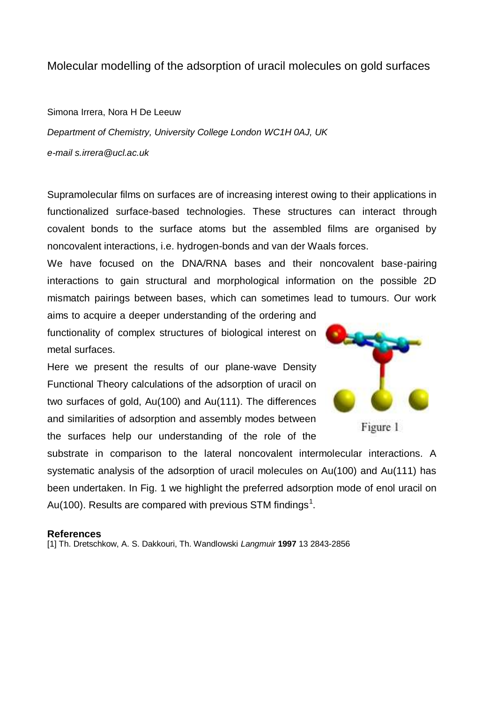## Molecular modelling of the adsorption of uracil molecules on gold surfaces

Simona Irrera, Nora H De Leeuw

*Department of Chemistry, University College London WC1H 0AJ, UK e-mail s.irrera@ucl.ac.uk*

Supramolecular films on surfaces are of increasing interest owing to their applications in functionalized surface-based technologies. These structures can interact through covalent bonds to the surface atoms but the assembled films are organised by noncovalent interactions, i.e. hydrogen-bonds and van der Waals forces.

We have focused on the DNA/RNA bases and their noncovalent base-pairing interactions to gain structural and morphological information on the possible 2D mismatch pairings between bases, which can sometimes lead to tumours. Our work

aims to acquire a deeper understanding of the ordering and functionality of complex structures of biological interest on metal surfaces.

Here we present the results of our plane-wave Density Functional Theory calculations of the adsorption of uracil on two surfaces of gold, Au(100) and Au(111). The differences and similarities of adsorption and assembly modes between the surfaces help our understanding of the role of the



Figure 1

substrate in comparison to the lateral noncovalent intermolecular interactions. A systematic analysis of the adsorption of uracil molecules on Au(100) and Au(111) has been undertaken. In Fig. 1 we highlight the preferred adsorption mode of enol uracil on Au(100). Results are compared with previous STM findings<sup>1</sup>.

#### **References**

[1] Th. Dretschkow, A. S. Dakkouri, Th. Wandlowski *Langmuir* **1997** 13 2843-2856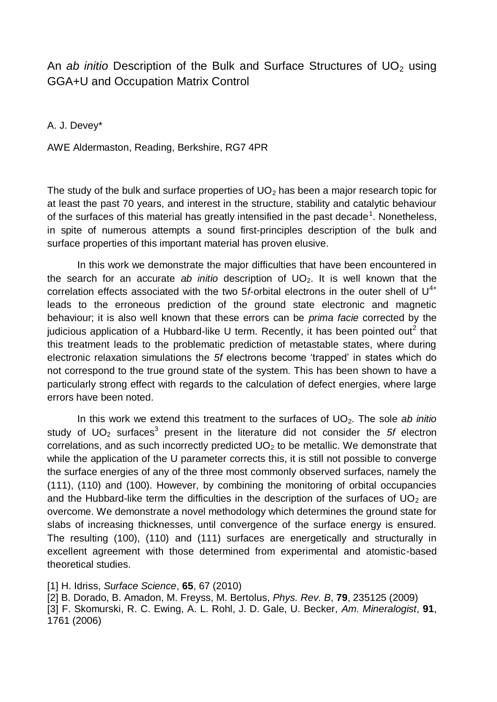## An *ab initio* Description of the Bulk and Surface Structures of UO<sub>2</sub> using GGA+U and Occupation Matrix Control

A. J. Devey\*

AWE Aldermaston, Reading, Berkshire, RG7 4PR

The study of the bulk and surface properties of  $UO<sub>2</sub>$  has been a major research topic for at least the past 70 years, and interest in the structure, stability and catalytic behaviour of the surfaces of this material has greatly intensified in the past decade<sup>1</sup>. Nonetheless, in spite of numerous attempts a sound first-principles description of the bulk and surface properties of this important material has proven elusive.

In this work we demonstrate the major difficulties that have been encountered in the search for an accurate *ab initio* description of UO2. It is well known that the correlation effects associated with the two  $5f$ -orbital electrons in the outer shell of  $U^{4+}$ leads to the erroneous prediction of the ground state electronic and magnetic behaviour; it is also well known that these errors can be *prima facie* corrected by the judicious application of a Hubbard-like U term. Recently, it has been pointed out<sup>2</sup> that this treatment leads to the problematic prediction of metastable states, where during electronic relaxation simulations the *5f* electrons become "trapped" in states which do not correspond to the true ground state of the system. This has been shown to have a particularly strong effect with regards to the calculation of defect energies, where large errors have been noted.

In this work we extend this treatment to the surfaces of UO<sub>2</sub>. The sole *ab initio* study of  $UO_2$  surfaces<sup>3</sup> present in the literature did not consider the  $5f$  electron correlations, and as such incorrectly predicted  $UO<sub>2</sub>$  to be metallic. We demonstrate that while the application of the U parameter corrects this, it is still not possible to converge the surface energies of any of the three most commonly observed surfaces, namely the (111), (110) and (100). However, by combining the monitoring of orbital occupancies and the Hubbard-like term the difficulties in the description of the surfaces of  $UO<sub>2</sub>$  are overcome. We demonstrate a novel methodology which determines the ground state for slabs of increasing thicknesses, until convergence of the surface energy is ensured. The resulting (100), (110) and (111) surfaces are energetically and structurally in excellent agreement with those determined from experimental and atomistic-based theoretical studies.

[1] H. Idriss, *Surface Science*, **65**, 67 (2010)

[2] B. Dorado, B. Amadon, M. Freyss, M. Bertolus, *Phys. Rev. B*, **79**, 235125 (2009)

<sup>[3]</sup> F. Skomurski, R. C. Ewing, A. L. Rohl, J. D. Gale, U. Becker, *Am. Mineralogist*, **91**, 1761 (2006)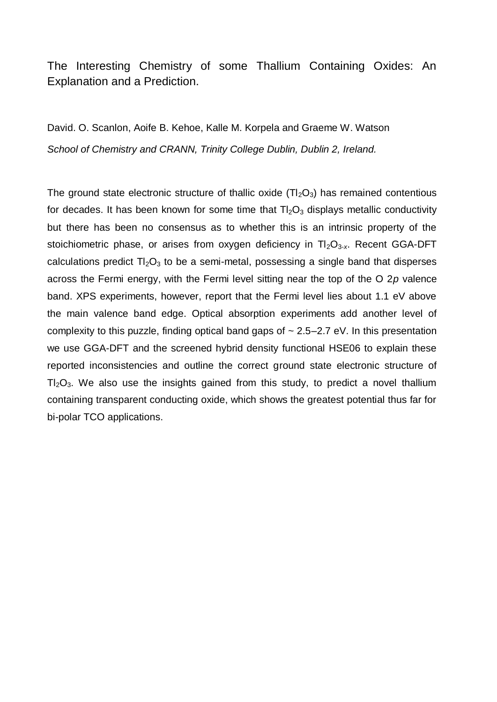# The Interesting Chemistry of some Thallium Containing Oxides: An Explanation and a Prediction.

David. O. Scanlon, Aoife B. Kehoe, Kalle M. Korpela and Graeme W. Watson *School of Chemistry and CRANN, Trinity College Dublin, Dublin 2, Ireland.*

The ground state electronic structure of thallic oxide  $(Tl<sub>2</sub>O<sub>3</sub>)$  has remained contentious for decades. It has been known for some time that  $T_2O_3$  displays metallic conductivity but there has been no consensus as to whether this is an intrinsic property of the stoichiometric phase, or arises from oxygen deficiency in Tl<sub>2</sub>O<sub>3-x</sub>. Recent GGA-DFT calculations predict  $T_2O_3$  to be a semi-metal, possessing a single band that disperses across the Fermi energy, with the Fermi level sitting near the top of the O 2*p* valence band. XPS experiments, however, report that the Fermi level lies about 1.1 eV above the main valence band edge. Optical absorption experiments add another level of complexity to this puzzle, finding optical band gaps of  $\sim 2.5-2.7$  eV. In this presentation we use GGA-DFT and the screened hybrid density functional HSE06 to explain these reported inconsistencies and outline the correct ground state electronic structure of  $T<sub>2</sub>O<sub>3</sub>$ . We also use the insights gained from this study, to predict a novel thallium containing transparent conducting oxide, which shows the greatest potential thus far for bi-polar TCO applications.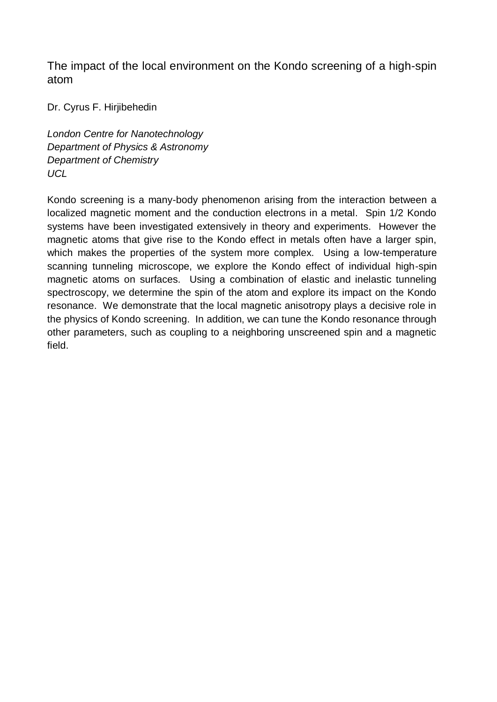The impact of the local environment on the Kondo screening of a high-spin atom

Dr. Cyrus F. Hirjibehedin

*London Centre for Nanotechnology Department of Physics & Astronomy Department of Chemistry UCL*

Kondo screening is a many-body phenomenon arising from the interaction between a localized magnetic moment and the conduction electrons in a metal. Spin 1/2 Kondo systems have been investigated extensively in theory and experiments. However the magnetic atoms that give rise to the Kondo effect in metals often have a larger spin, which makes the properties of the system more complex. Using a low-temperature scanning tunneling microscope, we explore the Kondo effect of individual high-spin magnetic atoms on surfaces. Using a combination of elastic and inelastic tunneling spectroscopy, we determine the spin of the atom and explore its impact on the Kondo resonance. We demonstrate that the local magnetic anisotropy plays a decisive role in the physics of Kondo screening. In addition, we can tune the Kondo resonance through other parameters, such as coupling to a neighboring unscreened spin and a magnetic field.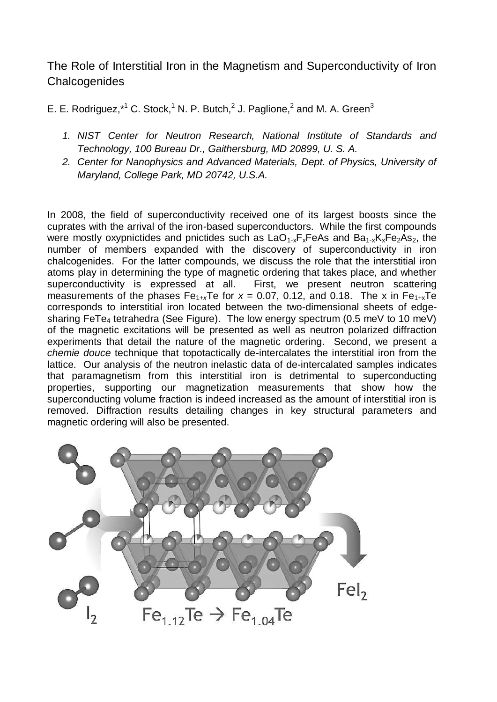The Role of Interstitial Iron in the Magnetism and Superconductivity of Iron **Chalcogenides** 

E. E. Rodriguez, $*^1$  C. Stock,<sup>1</sup> N. P. Butch,<sup>2</sup> J. Paglione,<sup>2</sup> and M. A. Green<sup>3</sup>

- *1. NIST Center for Neutron Research, National Institute of Standards and Technology, 100 Bureau Dr., Gaithersburg, MD 20899, U. S. A.*
- *2. Center for Nanophysics and Advanced Materials, Dept. of Physics, University of Maryland, College Park, MD 20742, U.S.A.*

In 2008, the field of superconductivity received one of its largest boosts since the cuprates with the arrival of the iron-based superconductors. While the first compounds were mostly oxypnictides and pnictides such as  $LaO<sub>1-x</sub>F<sub>x</sub>FeAs$  and  $Ba<sub>1-x</sub>K<sub>x</sub>Fe<sub>2</sub>As<sub>2</sub>$ , the number of members expanded with the discovery of superconductivity in iron chalcogenides. For the latter compounds, we discuss the role that the interstitial iron atoms play in determining the type of magnetic ordering that takes place, and whether superconductivity is expressed at all. First, we present neutron scattering measurements of the phases  $Fe_{1+x}Te$  for  $x = 0.07$ , 0.12, and 0.18. The x in  $Fe_{1+x}Te$ corresponds to interstitial iron located between the two-dimensional sheets of edgesharing FeTe<sub>4</sub> tetrahedra (See Figure). The low energy spectrum (0.5 meV to 10 meV) of the magnetic excitations will be presented as well as neutron polarized diffraction experiments that detail the nature of the magnetic ordering. Second, we present a *chemie douce* technique that topotactically de-intercalates the interstitial iron from the lattice. Our analysis of the neutron inelastic data of de-intercalated samples indicates that paramagnetism from this interstitial iron is detrimental to superconducting properties, supporting our magnetization measurements that show how the superconducting volume fraction is indeed increased as the amount of interstitial iron is removed. Diffraction results detailing changes in key structural parameters and magnetic ordering will also be presented.

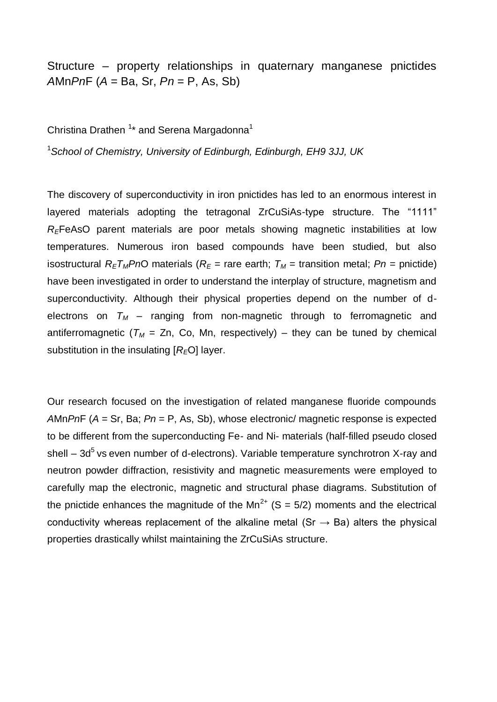Structure – property relationships in quaternary manganese pnictides *A*Mn*Pn*F (*A* = Ba, Sr, *Pn* = P, As, Sb)

Christina Drathen <sup>1\*</sup> and Serena Margadonna<sup>1</sup>

<sup>1</sup>*School of Chemistry, University of Edinburgh, Edinburgh, EH9 3JJ, UK*

The discovery of superconductivity in iron pnictides has led to an enormous interest in layered materials adopting the tetragonal ZrCuSiAs-type structure. The "1111" *RE*FeAsO parent materials are poor metals showing magnetic instabilities at low temperatures. Numerous iron based compounds have been studied, but also isostructural  $R_E T_M P nO$  materials ( $R_E$  = rare earth;  $T_M$  = transition metal;  $P n$  = pnictide) have been investigated in order to understand the interplay of structure, magnetism and superconductivity. Although their physical properties depend on the number of delectrons on  $T_M$  – ranging from non-magnetic through to ferromagnetic and antiferromagnetic ( $T_M$  = Zn, Co, Mn, respectively) – they can be tuned by chemical substitution in the insulating [*RE*O] layer.

Our research focused on the investigation of related manganese fluoride compounds *A*Mn*Pn*F (*A* = Sr, Ba; *Pn* = P, As, Sb), whose electronic/ magnetic response is expected to be different from the superconducting Fe- and Ni- materials (half-filled pseudo closed shell –  $3d<sup>5</sup>$  vs even number of d-electrons). Variable temperature synchrotron X-ray and neutron powder diffraction, resistivity and magnetic measurements were employed to carefully map the electronic, magnetic and structural phase diagrams. Substitution of the pnictide enhances the magnitude of the  $Mn^{2+}$  (S = 5/2) moments and the electrical conductivity whereas replacement of the alkaline metal (Sr  $\rightarrow$  Ba) alters the physical properties drastically whilst maintaining the ZrCuSiAs structure.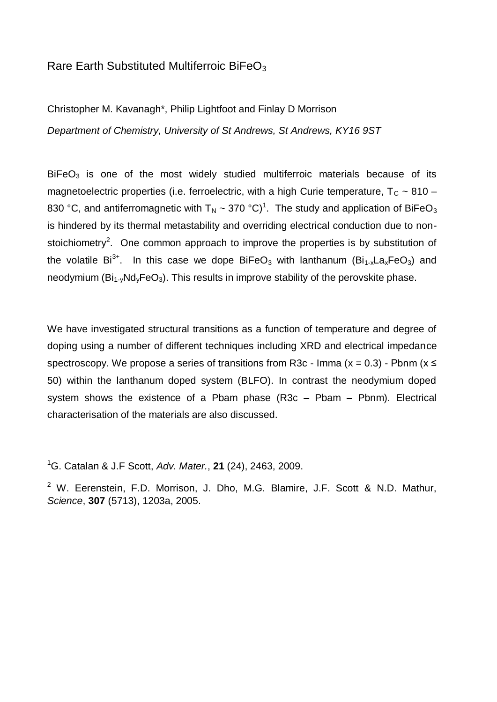## Rare Earth Substituted Multiferroic BiFe $O<sub>3</sub>$

Christopher M. Kavanagh\*, Philip Lightfoot and Finlay D Morrison

*Department of Chemistry, University of St Andrews, St Andrews, KY16 9ST*

 $BiFeO<sub>3</sub>$  is one of the most widely studied multiferroic materials because of its magnetoelectric properties (i.e. ferroelectric, with a high Curie temperature,  $T_c \sim 810 -$ 830 °C, and antiferromagnetic with T<sub>N</sub> ~ 370 °C)<sup>1</sup>. The study and application of BiFeO<sub>3</sub> is hindered by its thermal metastability and overriding electrical conduction due to nonstoichiometry<sup>2</sup>. One common approach to improve the properties is by substitution of the volatile  $Bi^{3+}$ . In this case we dope BiFeO<sub>3</sub> with lanthanum (Bi<sub>1-x</sub>La<sub>x</sub>FeO<sub>3</sub>) and neodymium  $(Bi<sub>1</sub>Wd<sub>v</sub>FeO<sub>3</sub>)$ . This results in improve stability of the perovskite phase.

We have investigated structural transitions as a function of temperature and degree of doping using a number of different techniques including XRD and electrical impedance spectroscopy. We propose a series of transitions from R3c - Imma ( $x = 0.3$ ) - Pbnm ( $x \le$ 50) within the lanthanum doped system (BLFO). In contrast the neodymium doped system shows the existence of a Pbam phase (R3c – Pbam – Pbnm). Electrical characterisation of the materials are also discussed.

<sup>1</sup>G. Catalan & J.F Scott, *Adv. Mater.*, **21** (24), 2463, 2009.

<sup>2</sup> W. Eerenstein, F.D. Morrison, J. Dho, M.G. Blamire, J.F. Scott & N.D. Mathur, *Science*, **307** (5713), 1203a, 2005.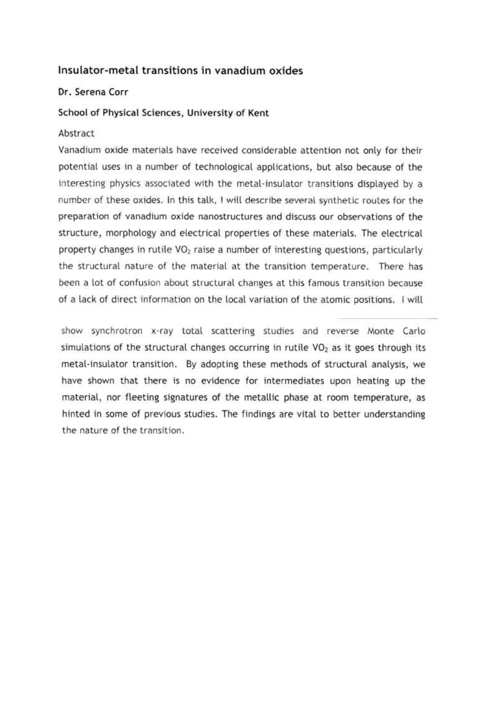## Insulator-metal transitions in vanadium oxides

#### Dr. Serena Corr

#### School of Physical Sciences, University of Kent

#### Abstract

Vanadium oxide materials have received considerable attention not only for their potential uses in a number of technological applications, but also because of the interesting physics associated with the metal-insulator transitions displayed by a number of these oxides. In this talk, I will describe several synthetic routes for the preparation of vanadium oxide nanostructures and discuss our observations of the structure, morphology and electrical properties of these materials. The electrical property changes in rutile VO<sub>2</sub> raise a number of interesting questions, particularly the structural nature of the material at the transition temperature. There has been a lot of confusion about structural changes at this famous transition because of a lack of direct information on the local variation of the atomic positions. I will

show synchrotron x-ray total scattering studies and reverse Monte Carlo simulations of the structural changes occurring in rutile VO<sub>2</sub> as it goes through its metal-insulator transition. By adopting these methods of structural analysis, we have shown that there is no evidence for intermediates upon heating up the material, nor fleeting signatures of the metallic phase at room temperature, as hinted in some of previous studies. The findings are vital to better understanding the nature of the transition.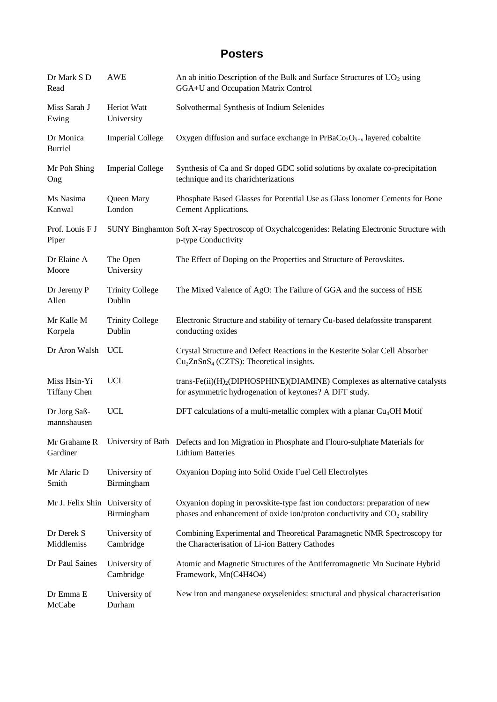# **Posters**

| Dr Mark S D<br>Read                 | <b>AWE</b>                       | An ab initio Description of the Bulk and Surface Structures of UO <sub>2</sub> using<br>GGA+U and Occupation Matrix Control                                         |
|-------------------------------------|----------------------------------|---------------------------------------------------------------------------------------------------------------------------------------------------------------------|
| Miss Sarah J<br>Ewing               | Heriot Watt<br>University        | Solvothermal Synthesis of Indium Selenides                                                                                                                          |
| Dr Monica<br><b>Burriel</b>         | <b>Imperial College</b>          | Oxygen diffusion and surface exchange in $PrBaCo2O5+x$ layered cobaltite                                                                                            |
| Mr Poh Shing<br>Ong                 | <b>Imperial College</b>          | Synthesis of Ca and Sr doped GDC solid solutions by oxalate co-precipitation<br>technique and its charichterizations                                                |
| Ms Nasima<br>Kanwal                 | Queen Mary<br>London             | Phosphate Based Glasses for Potential Use as Glass Ionomer Cements for Bone<br>Cement Applications.                                                                 |
| Prof. Louis F J<br>Piper            |                                  | SUNY Binghamton Soft X-ray Spectroscop of Oxychalcogenides: Relating Electronic Structure with<br>p-type Conductivity                                               |
| Dr Elaine A<br>Moore                | The Open<br>University           | The Effect of Doping on the Properties and Structure of Perovskites.                                                                                                |
| Dr Jeremy P<br>Allen                | <b>Trinity College</b><br>Dublin | The Mixed Valence of AgO: The Failure of GGA and the success of HSE                                                                                                 |
| Mr Kalle M<br>Korpela               | <b>Trinity College</b><br>Dublin | Electronic Structure and stability of ternary Cu-based delafossite transparent<br>conducting oxides                                                                 |
| Dr Aron Walsh                       | <b>UCL</b>                       | Crystal Structure and Defect Reactions in the Kesterite Solar Cell Absorber<br>$Cu2ZnSnS4$ (CZTS): Theoretical insights.                                            |
| Miss Hsin-Yi<br><b>Tiffany Chen</b> | <b>UCL</b>                       | trans-Fe $(ii)(H)2(DIPHOSPHINE)(DIAMINE)$ Complexes as alternative catalysts<br>for asymmetric hydrogenation of keytones? A DFT study.                              |
| Dr Jorg Saß-<br>mannshausen         | <b>UCL</b>                       | DFT calculations of a multi-metallic complex with a planar $Cu4OH$ Motif                                                                                            |
| Mr Grahame R<br>Gardiner            |                                  | University of Bath Defects and Ion Migration in Phosphate and Flouro-sulphate Materials for<br><b>Lithium Batteries</b>                                             |
| Mr Alaric D<br>Smith                | University of<br>Birmingham      | Oxyanion Doping into Solid Oxide Fuel Cell Electrolytes                                                                                                             |
| Mr J. Felix Shin University of      | Birmingham                       | Oxyanion doping in perovskite-type fast ion conductors: preparation of new<br>phases and enhancement of oxide ion/proton conductivity and CO <sub>2</sub> stability |
| Dr Derek S<br>Middlemiss            | University of<br>Cambridge       | Combining Experimental and Theoretical Paramagnetic NMR Spectroscopy for<br>the Characterisation of Li-ion Battery Cathodes                                         |
| Dr Paul Saines                      | University of<br>Cambridge       | Atomic and Magnetic Structures of the Antiferromagnetic Mn Sucinate Hybrid<br>Framework, Mn(C4H4O4)                                                                 |
| Dr Emma E<br>McCabe                 | University of<br>Durham          | New iron and manganese oxyselenides: structural and physical characterisation                                                                                       |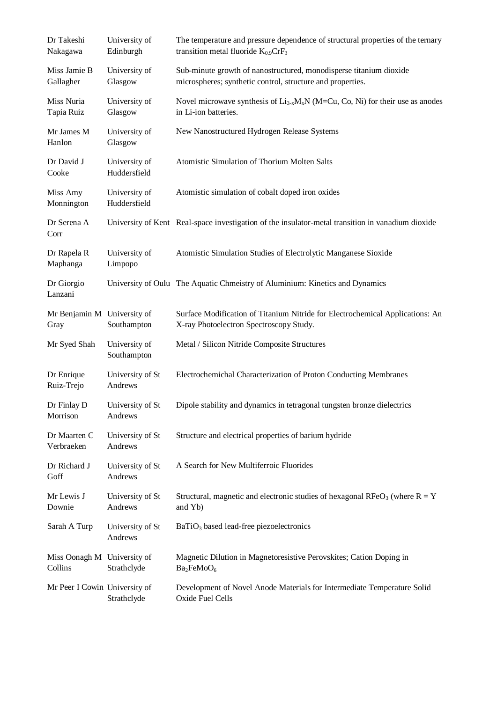| Dr Takeshi<br>Nakagawa                 | University of<br>Edinburgh    | The temperature and pressure dependence of structural properties of the ternary<br>transition metal fluoride $K_{0.9}$ CrF <sub>3</sub> |
|----------------------------------------|-------------------------------|-----------------------------------------------------------------------------------------------------------------------------------------|
| Miss Jamie B<br>Gallagher              | University of<br>Glasgow      | Sub-minute growth of nanostructured, monodisperse titanium dioxide<br>microspheres; synthetic control, structure and properties.        |
| Miss Nuria<br>Tapia Ruiz               | University of<br>Glasgow      | Novel microwave synthesis of $Li_{3-x}M_xN$ (M=Cu, Co, Ni) for their use as anodes<br>in Li-ion batteries.                              |
| Mr James M<br>Hanlon                   | University of<br>Glasgow      | New Nanostructured Hydrogen Release Systems                                                                                             |
| Dr David J<br>Cooke                    | University of<br>Huddersfield | Atomistic Simulation of Thorium Molten Salts                                                                                            |
| Miss Amy<br>Monnington                 | University of<br>Huddersfield | Atomistic simulation of cobalt doped iron oxides                                                                                        |
| Dr Serena A<br>Corr                    |                               | University of Kent Real-space investigation of the insulator-metal transition in vanadium dioxide                                       |
| Dr Rapela R<br>Maphanga                | University of<br>Limpopo      | Atomistic Simulation Studies of Electrolytic Manganese Sioxide                                                                          |
| Dr Giorgio<br>Lanzani                  |                               | University of Oulu The Aquatic Chmeistry of Aluminium: Kinetics and Dynamics                                                            |
| Mr Benjamin M University of<br>Gray    | Southampton                   | Surface Modification of Titanium Nitride for Electrochemical Applications: An<br>X-ray Photoelectron Spectroscopy Study.                |
| Mr Syed Shah                           | University of<br>Southampton  | Metal / Silicon Nitride Composite Structures                                                                                            |
| Dr Enrique<br>Ruiz-Trejo               | University of St<br>Andrews   | Electrochemichal Characterization of Proton Conducting Membranes                                                                        |
| Dr Finlay D<br>Morrison                | University of St<br>Andrews   | Dipole stability and dynamics in tetragonal tungsten bronze dielectrics                                                                 |
| Dr Maarten C<br>Verbraeken             | University of St<br>Andrews   | Structure and electrical properties of barium hydride                                                                                   |
| Dr Richard J<br>Goff                   | University of St<br>Andrews   | A Search for New Multiferroic Fluorides                                                                                                 |
| Mr Lewis J<br>Downie                   | University of St<br>Andrews   | Structural, magnetic and electronic studies of hexagonal RFeO <sub>3</sub> (where $R = Y$<br>and Yb)                                    |
| Sarah A Turp                           | University of St<br>Andrews   | BaTiO <sub>3</sub> based lead-free piezoelectronics                                                                                     |
| Miss Oonagh M University of<br>Collins | Strathclyde                   | Magnetic Dilution in Magnetoresistive Perovskites; Cation Doping in<br>Ba <sub>2</sub> FeMoO <sub>6</sub>                               |
| Mr Peer I Cowin University of          | Strathclyde                   | Development of Novel Anode Materials for Intermediate Temperature Solid<br>Oxide Fuel Cells                                             |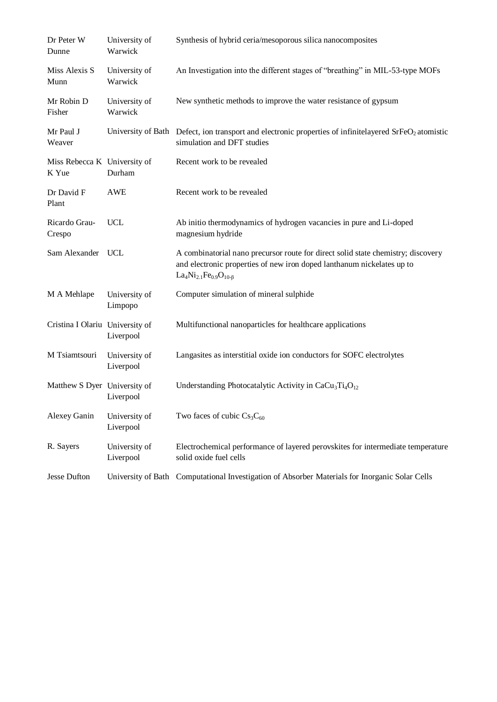| Dr Peter W<br>Dunne                   | University of<br>Warwick   | Synthesis of hybrid ceria/mesoporous silica nanocomposites                                                                                                                                                                          |
|---------------------------------------|----------------------------|-------------------------------------------------------------------------------------------------------------------------------------------------------------------------------------------------------------------------------------|
| Miss Alexis S<br>Munn                 | University of<br>Warwick   | An Investigation into the different stages of "breathing" in MIL-53-type MOFs                                                                                                                                                       |
| Mr Robin D<br>Fisher                  | University of<br>Warwick   | New synthetic methods to improve the water resistance of gypsum                                                                                                                                                                     |
| Mr Paul J<br>Weaver                   |                            | University of Bath Defect, ion transport and electronic properties of infinitelayered $SrfeO2$ atomistic<br>simulation and DFT studies                                                                                              |
| Miss Rebecca K University of<br>K Yue | Durham                     | Recent work to be revealed                                                                                                                                                                                                          |
| Dr David F<br>Plant                   | <b>AWE</b>                 | Recent work to be revealed                                                                                                                                                                                                          |
| Ricardo Grau-<br>Crespo               | <b>UCL</b>                 | Ab initio thermodynamics of hydrogen vacancies in pure and Li-doped<br>magnesium hydride                                                                                                                                            |
| Sam Alexander UCL                     |                            | A combinatorial nano precursor route for direct solid state chemistry; discovery<br>and electronic properties of new iron doped lanthanum nickelates up to<br>La <sub>4</sub> Ni <sub>2.1</sub> Fe <sub>0.9</sub> O <sub>10-B</sub> |
| M A Mehlape                           | University of<br>Limpopo   | Computer simulation of mineral sulphide                                                                                                                                                                                             |
| Cristina I Olariu University of       | Liverpool                  | Multifunctional nanoparticles for healthcare applications                                                                                                                                                                           |
| M Tsiamtsouri                         | University of<br>Liverpool | Langasites as interstitial oxide ion conductors for SOFC electrolytes                                                                                                                                                               |
| Matthew S Dyer University of          | Liverpool                  | Understanding Photocatalytic Activity in $CaCu3Ti4O12$                                                                                                                                                                              |
| Alexey Ganin                          | University of<br>Liverpool | Two faces of cubic $Cs_3C_{60}$                                                                                                                                                                                                     |
| R. Sayers                             | University of<br>Liverpool | Electrochemical performance of layered perovskites for intermediate temperature<br>solid oxide fuel cells                                                                                                                           |
| <b>Jesse Dufton</b>                   |                            | University of Bath Computational Investigation of Absorber Materials for Inorganic Solar Cells                                                                                                                                      |
|                                       |                            |                                                                                                                                                                                                                                     |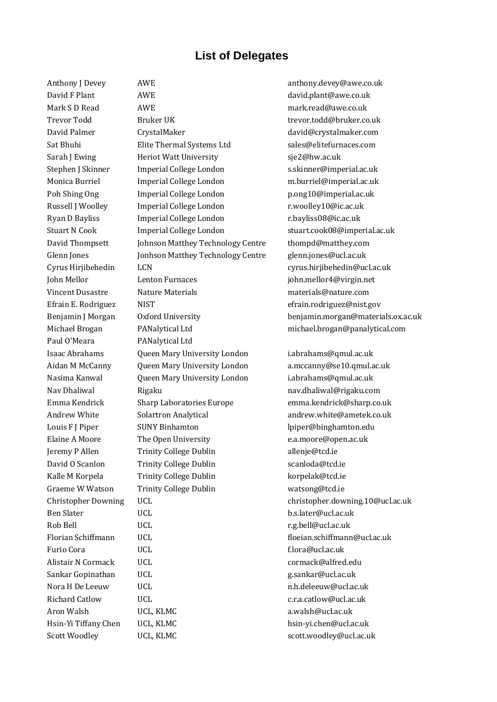## **List of Delegates**

Paul O'Meara PANalytical Ltd

David F Plant AWE AWE david.plant@awe.co.uk Mark S D Read AWE AWE mark.read@awe.co.uk Trevor Todd Bruker UK trevor.todd@bruker.co.uk David Palmer CrystalMaker david@crystalmaker.com Sat Bhuhi Elite Thermal Systems Ltd sales@elitefurnaces.com Sarah J Ewing **Heriot Watt University** Sie2@hw.ac.uk Stephen J Skinner Imperial College London s.skinner@imperial.ac.uk Monica Burriel Imperial College London m.burriel@imperial.ac.uk Poh Shing Ong Imperial College London p.ong10@imperial.ac.uk Russell J Woolley Imperial College London **F**.woolley10@ic.ac.uk Ryan D Bayliss **Imperial College London** r.bayliss08@ic.ac.uk Stuart N Cook Imperial College London stuart.cook08@imperial.ac.uk David Thompsett Johnson Matthey Technology Centre thompd@matthey.com Glenn Jones Jonhson Matthey Technology Centre glenn.jones@ucl.ac.uk Cyrus Hirjibehedin LCN LCN cyrus.hirjibehedin@ucl.ac.uk John Mellor Lenton Furnaces john.mellor4@virgin.net Vincent Dusastre Nature Materials materials@nature.com Efrain E. Rodriguez MIST NIST efrain.rodriguez@nist.gov Isaac Abrahams Queen Mary University London i.abrahams@qmul.ac.uk Aidan M McCanny Queen Mary University London a.mccanny@se10.qmul.ac.uk Nasima Kanwal Queen Mary University London i.abrahams@qmul.ac.uk Nav Dhaliwal **Rigaku** nav.dhaliwal@rigaku.com Emma Kendrick Sharp Laboratories Europe emma.kendrick@sharp.co.uk Andrew White Solartron Analytical andrew.white@ametek.co.uk Louis F I Piper SUNY Binhamton Louis P I piper@binghamton.edu Elaine A Moore The Open University **Elaine A Moore** The Open University **Elaine A** Moore Conservation and The Open University Jeremy P Allen Trinity College Dublin allenje@tcd.ie David O Scanlon Trinity College Dublin Scanloda@tcd.ie Kalle M Korpela Trinity College Dublin korpelak@tcd.ie Graeme W Watson Trinity College Dublin Trinity College Dublin Watsong @tcd.ie Ben Slater UCL b.s.later@ucl.ac.uk Rob Bell UCL r.g.bell@ucl.ac.uk Florian Schiffmann UCL floeian.schiffmann@ucl.ac.uk Furio Cora UCL f.lora@ucl.ac.uk Alistair N Cormack UCL cormack Cormack Cormack Cormack Cormack Cormack Cormack Cormack Corner at a cormack Corner and the UCL corner at  $U$ Sankar Gopinathan UCL the control of the g.sankar@ucl.ac.uk Nora H De Leeuw UCL UCL n.h.deleeuw@ucl.ac.uk Richard Catlow UCL C.r.a.catlow@ucl.ac.uk Aron Walsh **COL, KLMC** a.walsh@ucl.ac.uk Hsin-Yi Tiffany Chen UCL, KLMC hsin-yi.chen@ucl.ac.uk Scott Woodley UCL, KLMC scott.woodley@ucl.ac.uk

Anthony J Devey AWE AWE anthony.devey@awe.co.uk Benjamin J Morgan Oxford University benjamin.morgan@materials.ox.ac.uk Michael Brogan PANalytical Ltd michael.brogan@panalytical.com Christopher Downing UCL christopher.downing.10@ucl.ac.uk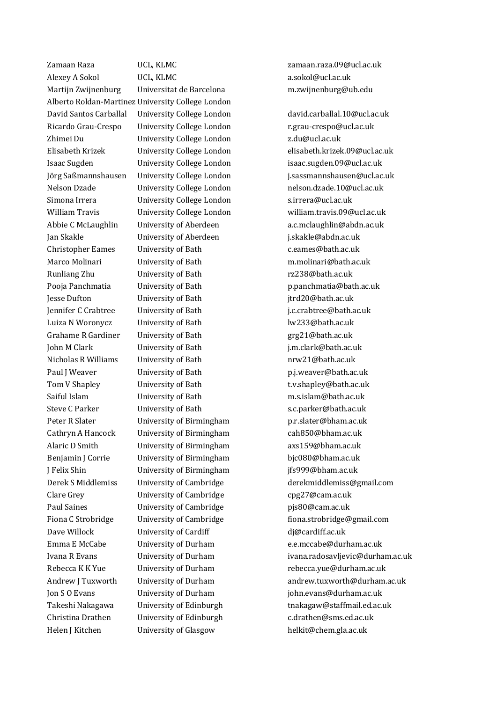Helen J Kitchen University of Glasgow helkit@chem.gla.ac.uk

Zamaan Raza UCL, KLMC zamaan.raza.09@ucl.ac.uk Alexey A Sokol CL, KLMC a.sokol@ucl.ac.uk Martijn Zwijnenburg Universitat de Barcelona m.zwijnenburg@ub.edu Alberto Roldan-Martinez University College London Ricardo Grau-Crespo University College London F.grau-crespo@ucl.ac.uk Zhimei Du University College London z.du@ucl.ac.uk Simona Irrera University College London s.irrera@ucl.ac.uk Jan Skakle University of Aberdeen j.skakle@abdn.ac.uk Christopher Eames University of Bath C.eames@bath.ac.uk Marco Molinari University of Bath m.molinari@bath.ac.uk Runliang Zhu University of Bath rz238@bath.ac.uk Jesse Dufton University of Bath jtrd20@bath.ac.uk Jennifer C Crabtree University of Bath j.c.crabtree@bath.ac.uk Luiza N Woronycz University of Bath lw233@bath.ac.uk Grahame R Gardiner University of Bath grg21@bath.ac.uk John M Clark University of Bath j.m.clark@bath.ac.uk Nicholas R Williams University of Bath nrw21@bath.ac.uk Paul J Weaver **Contact University of Bath** p.j.weaver@bath.ac.uk Tom V Shapley Tom V Shapley University of Bath t.v.shapley@bath.ac.uk Saiful Islam University of Bath m.s.islam@bath.ac.uk Steve C Parker **Steve C Parker** University of Bath S.c.parker@bath.ac.uk Peter R Slater University of Birmingham p.r.slater@bham.ac.uk Cathryn A Hancock University of Birmingham cah850@bham.ac.uk Alaric D Smith University of Birmingham axs159@bham.ac.uk Benjamin J Corrie University of Birmingham bjc080@bham.ac.uk J Felix Shin University of Birmingham jfs999@bham.ac.uk Clare Grey **University of Cambridge** cpg27@cam.ac.uk Paul Saines **Paul Saines** University of Cambridge **physics** pjs80@cam.ac.uk Dave Willock University of Cardiff digeordiff.ac.uk Christina Drathen University of Edinburgh c.drathen@sms.ed.ac.uk

David Santos Carballal University College London david.carballal.10@ucl.ac.uk Elisabeth Krizek University College London elisabeth.krizek.09@ucl.ac.uk Isaac Sugden University College London isaac.sugden.09@ucl.ac.uk Jörg Saßmannshausen University College London j.sassmannshausen@ucl.ac.uk Nelson Dzade University College London nelson.dzade.10@ucl.ac.uk William Travis **University College London** william.travis.09@ucl.ac.uk Abbie C McLaughlin University of Aberdeen a.c.mclaughlin@abdn.ac.uk Pooja Panchmatia University of Bath p.panchmatia@bath.ac.uk Derek S Middlemiss University of Cambridge derekmiddlemiss@gmail.com Fiona C Strobridge University of Cambridge fiona.strobridge@gmail.com Emma E McCabe University of Durham e.e.mccabe@durham.ac.uk Ivana R Evans University of Durham ivana.radosavljevic@durham.ac.uk Rebecca K K Yue University of Durham rebecca.yue@durham.ac.uk Andrew J Tuxworth University of Durham and rew.tuxworth@durham.ac.uk Jon S O Evans University of Durham john.evans@durham.ac.uk Takeshi Nakagawa University of Edinburgh tnakagaw@staffmail.ed.ac.uk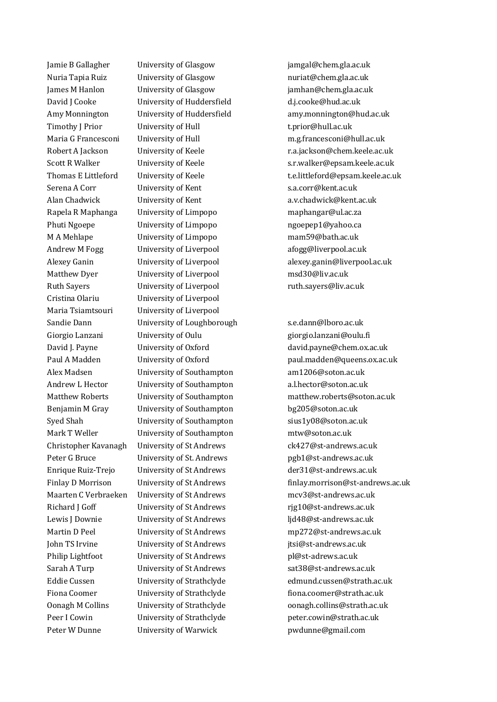Jamie B Gallagher University of Glasgow jamgal@chem.gla.ac.uk Nuria Tapia Ruiz University of Glasgow nuriat@chem.gla.ac.uk James M Hanlon University of Glasgow jamhan@chem.gla.ac.uk David J Cooke University of Huddersfield d.j.cooke@hud.ac.uk Timothy J Prior University of Hull the Charles of Australian Leonard t.prior@hull.ac.uk Serena A Corr **Serena A Corr** University of Kent strategy and strategy strategy strategy strategy strategy strategy strategy strategy strategy strategy strategy strategy strategy strategy strategy strategy strategy strateg Alan Chadwick **University of Kent Alan Chadwick@kent.ac.uk** a.v.chadwick@kent.ac.uk Rapela R Maphanga University of Limpopo maphangar@ul.ac.za Phuti Ngoepe University of Limpopo ngoepep1@yahoo.ca M A Mehlape University of Limpopo mam59@bath.ac.uk Andrew M Fogg University of Liverpool and the analogue of a fogg@liverpool.ac.uk Matthew Dyer University of Liverpool msd30@liv.ac.uk Ruth Sayers **Example 3** University of Liverpool **Ruth** Sayers@liv.ac.uk Cristina Olariu University of Liverpool Maria Tsiamtsouri University of Liverpool Sandie Dann University of Loughborough s.e.dann@lboro.ac.uk Giorgio Lanzani University of Oulu giorgio.lanzani@oulu.fi Alex Madsen **Iniversity of Southampton** am1206@soton.ac.uk Andrew L Hector University of Southampton all hector@soton.ac.uk Benjamin M Gray University of Southampton bg205@soton.ac.uk Syed Shah University of Southampton sius1y08@soton.ac.uk Mark T Weller University of Southampton mtw@soton.ac.uk Peter G Bruce University of St. Andrews pgb1@st-andrews.ac.uk Maarten C Verbraeken University of St Andrews mcv3@st-andrews.ac.uk Richard J Goff University of St Andrews rig10@st-andrews.ac.uk Lewis I Downie University of St Andrews lid48@st-andrews.ac.uk John TS Irvine University of St Andrews jtsi@st-andrews.ac.uk Philip Lightfoot University of St Andrews pl@st-adrews.ac.uk Sarah A Turp **University of St Andrews** sat38@st-andrews.ac.uk Peter W Dunne University of Warwick by the pwdunne@gmail.com

Amy Monnington University of Huddersfield amy.monnington@hud.ac.uk Maria G Francesconi University of Hull m.g.francesconi@hull.ac.uk Robert A Jackson University of Keele r.a.jackson@chem.keele.ac.uk Scott R Walker University of Keele s.r.walker@epsam.keele.ac.uk Thomas E Littleford University of Keele the tealittleford@epsam.keele.ac.uk Alexey Ganin **Example 2.1 University of Liverpool** and the series are alexey.ganin@liverpool.ac.uk

David J. Payne University of Oxford david.payne@chem.ox.ac.uk Paul A Madden University of Oxford paul.madden@queens.ox.ac.uk Matthew Roberts University of Southampton matthew.roberts@soton.ac.uk Christopher Kavanagh University of St Andrews ck427@st-andrews.ac.uk Enrique Ruiz-Trejo University of St Andrews der31@st-andrews.ac.uk Finlay D Morrison University of St Andrews finlay.morrison@st-andrews.ac.uk Martin D Peel University of St Andrews mp272@st-andrews.ac.uk Eddie Cussen University of Strathclyde edmund.cussen@strath.ac.uk Fiona Coomer **Iniversity of Strathclyde** fiona.coomer@strath.ac.uk Oonagh M Collins University of Strathclyde oonagh.collins@strath.ac.uk Peer I Cowin University of Strathclyde peter.cowin@strath.ac.uk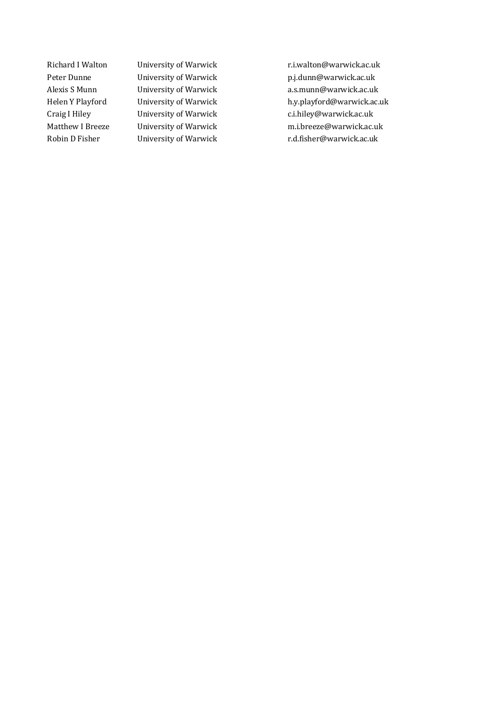Richard I Walton University of Warwick r.i.walton@warwick.ac.uk Peter Dunne University of Warwick p.j.dunn@warwick.ac.uk Alexis S Munn **University of Warwick Communical** a.s.munn@warwick.ac.uk Helen Y Playford University of Warwick h.y.playford@warwick.ac.uk Craig I Hiley **Example 20** University of Warwick **Constant Construction** C.i.hiley@warwick.ac.uk Matthew I Breeze University of Warwick metal m.i.breeze@warwick.ac.uk Robin D Fisher **University of Warwick** r.d.fisher@warwick.ac.uk